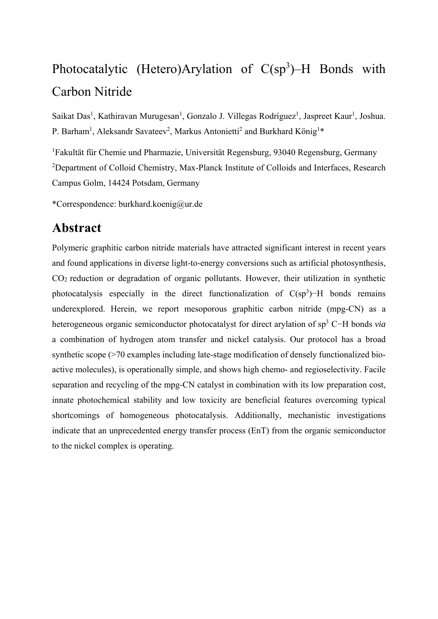# Photocatalytic (Hetero)Arylation of  $C(sp^3)$ –H Bonds with Carbon Nitride

Saikat Das<sup>1</sup>, Kathiravan Murugesan<sup>1</sup>, Gonzalo J. Villegas Rodríguez<sup>1</sup>, Jaspreet Kaur<sup>1</sup>, Joshua. P. Barham<sup>1</sup>, Aleksandr Savateev<sup>2</sup>, Markus Antonietti<sup>2</sup> and Burkhard König<sup>1\*</sup>

<sup>1</sup>Fakultät für Chemie und Pharmazie, Universität Regensburg, 93040 Regensburg, Germany <sup>2</sup>Department of Colloid Chemistry, Max-Planck Institute of Colloids and Interfaces, Research Campus Golm, 14424 Potsdam, Germany

\*Correspondence: burkhard.koenig@ur.de

# **Abstract**

Polymeric graphitic carbon nitride materials have attracted significant interest in recent years and found applications in diverse light-to-energy conversions such as artificial photosynthesis, CO2 reduction or degradation of organic pollutants. However, their utilization in synthetic photocatalysis especially in the direct functionalization of  $C(sp^3)$ –H bonds remains underexplored. Herein, we report mesoporous graphitic carbon nitride (mpg-CN) as a heterogeneous organic semiconductor photocatalyst for direct arylation of sp<sup>3</sup> C−H bonds *via* a combination of hydrogen atom transfer and nickel catalysis. Our protocol has a broad synthetic scope (>70 examples including late-stage modification of densely functionalized bioactive molecules), is operationally simple, and shows high chemo- and regioselectivity. Facile separation and recycling of the mpg-CN catalyst in combination with its low preparation cost, innate photochemical stability and low toxicity are beneficial features overcoming typical shortcomings of homogeneous photocatalysis. Additionally, mechanistic investigations indicate that an unprecedented energy transfer process (EnT) from the organic semiconductor to the nickel complex is operating.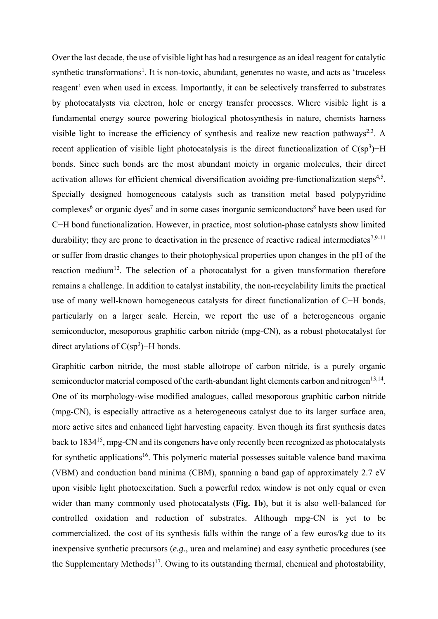Over the last decade, the use of visible light has had a resurgence as an ideal reagent for catalytic synthetic transformations<sup>1</sup>. It is non-toxic, abundant, generates no waste, and acts as 'traceless reagent' even when used in excess. Importantly, it can be selectively transferred to substrates by photocatalysts via electron, hole or energy transfer processes. Where visible light is a fundamental energy source powering biological photosynthesis in nature, chemists harness visible light to increase the efficiency of synthesis and realize new reaction pathways<sup>2,3</sup>. A recent application of visible light photocatalysis is the direct functionalization of  $C(sp^3)$ -H bonds. Since such bonds are the most abundant moiety in organic molecules, their direct activation allows for efficient chemical diversification avoiding pre-functionalization steps<sup>4,5</sup>. Specially designed homogeneous catalysts such as transition metal based polypyridine complexes<sup>6</sup> or organic dyes<sup>7</sup> and in some cases inorganic semiconductors<sup>8</sup> have been used for C−H bond functionalization. However, in practice, most solution-phase catalysts show limited durability; they are prone to deactivation in the presence of reactive radical intermediates<sup>7,9-11</sup> or suffer from drastic changes to their photophysical properties upon changes in the pH of the reaction medium<sup>12</sup>. The selection of a photocatalyst for a given transformation therefore remains a challenge. In addition to catalyst instability, the non-recyclability limits the practical use of many well-known homogeneous catalysts for direct functionalization of C−H bonds, particularly on a larger scale. Herein, we report the use of a heterogeneous organic semiconductor, mesoporous graphitic carbon nitride (mpg-CN), as a robust photocatalyst for direct arylations of  $C(sp^3)$ –H bonds.

Graphitic carbon nitride, the most stable allotrope of carbon nitride, is a purely organic semiconductor material composed of the earth-abundant light elements carbon and nitrogen<sup>13,14</sup>. One of its morphology-wise modified analogues, called mesoporous graphitic carbon nitride (mpg-CN), is especially attractive as a heterogeneous catalyst due to its larger surface area, more active sites and enhanced light harvesting capacity. Even though its first synthesis dates back to 1834<sup>15</sup>, mpg-CN and its congeners have only recently been recognized as photocatalysts for synthetic applications<sup>16</sup>. This polymeric material possesses suitable valence band maxima (VBM) and conduction band minima (CBM), spanning a band gap of approximately 2.7 eV upon visible light photoexcitation. Such a powerful redox window is not only equal or even wider than many commonly used photocatalysts (**Fig. 1b**), but it is also well-balanced for controlled oxidation and reduction of substrates. Although mpg-CN is yet to be commercialized, the cost of its synthesis falls within the range of a few euros/kg due to its inexpensive synthetic precursors (*e.g*., urea and melamine) and easy synthetic procedures (see the Supplementary Methods)<sup>17</sup>. Owing to its outstanding thermal, chemical and photostability,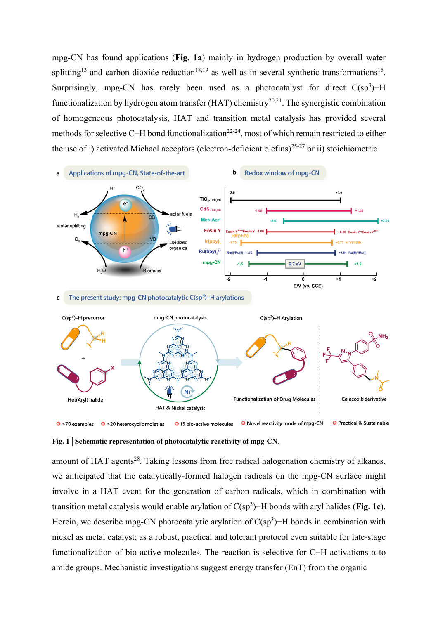mpg-CN has found applications (**Fig. 1a**) mainly in hydrogen production by overall water splitting<sup>13</sup> and carbon dioxide reduction<sup>18,19</sup> as well as in several synthetic transformations<sup>16</sup>. Surprisingly, mpg-CN has rarely been used as a photocatalyst for direct  $C(sp^3)$ -H functionalization by hydrogen atom transfer (HAT) chemistry<sup>20,21</sup>. The synergistic combination of homogeneous photocatalysis, HAT and transition metal catalysis has provided several methods for selective C−H bond functionalization<sup>22-24</sup>, most of which remain restricted to either the use of i) activated Michael acceptors (electron-deficient olefins)<sup>25-27</sup> or ii) stoichiometric



O Novel reactivity mode of mpg-CN O Practical & Sustainable  $\bullet$  >70 examples  $\bullet$  >20 heterocyclic moieties **O** 15 bio-active molecules

amount of HAT agents<sup>28</sup>. Taking lessons from free radical halogenation chemistry of alkanes, we anticipated that the catalytically-formed halogen radicals on the mpg-CN surface might involve in a HAT event for the generation of carbon radicals, which in combination with transition metal catalysis would enable arylation of C(sp<sup>3</sup> )−H bonds with aryl halides (**Fig. 1c**). Herein, we describe mpg-CN photocatalytic arylation of  $C(sp^3)$ –H bonds in combination with nickel as metal catalyst; as a robust, practical and tolerant protocol even suitable for late-stage functionalization of bio-active molecules. The reaction is selective for C−H activations α-to amide groups. Mechanistic investigations suggest energy transfer (EnT) from the organic

**Fig. 1│Schematic representation of photocatalytic reactivity of mpg-CN**.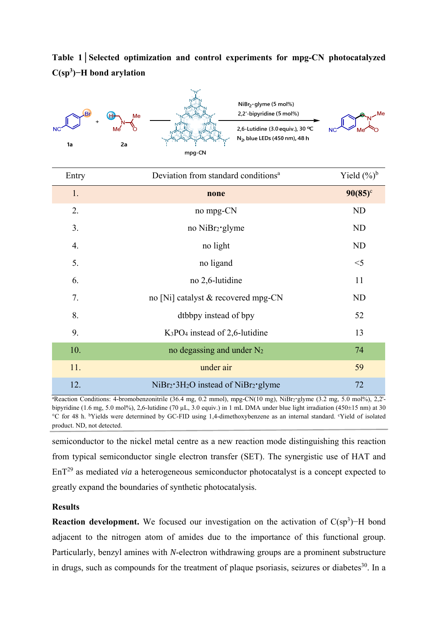**Table 1│Selected optimization and control experiments for mpg-CN photocatalyzed C(sp3)−H bond arylation** 



| Entry | Deviation from standard conditions <sup>a</sup> | Yield $(\%)^b$ |
|-------|-------------------------------------------------|----------------|
| 1.    | none                                            | $90(85)$ °     |
| 2.    | no mpg-CN                                       | <b>ND</b>      |
| 3.    | no NiBr <sub>2</sub> ·glyme                     | N <sub>D</sub> |
| 4.    | no light                                        | <b>ND</b>      |
| 5.    | no ligand                                       | $<$ 5          |
| 6.    | no 2,6-lutidine                                 | 11             |
| 7.    | no [Ni] catalyst & recovered mpg-CN             | <b>ND</b>      |
| 8.    | dtbbpy instead of bpy                           | 52             |
| 9.    | $K_3PO_4$ instead of 2,6-lutidine               | 13             |
| 10.   | no degassing and under $N_2$                    | 74             |
| 11.   | under air                                       | 59             |
| 12.   | $NiBr2·3H2O$ instead of $NiBr2·glyme$           | 72             |

a Reaction Conditions: 4-bromobenzonitrile (36.4 mg, 0.2 mmol), mpg-CN(10 mg), NiBr2**·**glyme (3.2 mg, 5.0 mol%), 2,2' bipyridine (1.6 mg, 5.0 mol%), 2,6-lutidine (70 µL, 3.0 equiv.) in 1 mL DMA under blue light irradiation (450 $\pm$ 15 nm) at 30 °C for 48 h. bYields were determined by GC-FID using 1,4-dimethoxybenzene as an internal standard. c Yield of isolated product. ND, not detected.

semiconductor to the nickel metal centre as a new reaction mode distinguishing this reaction from typical semiconductor single electron transfer (SET). The synergistic use of HAT and EnT29 as mediated *via* a heterogeneous semiconductor photocatalyst is a concept expected to greatly expand the boundaries of synthetic photocatalysis.

## **Results**

**Reaction development.** We focused our investigation on the activation of  $C(sp^3)$ –H bond adjacent to the nitrogen atom of amides due to the importance of this functional group. Particularly, benzyl amines with *N*-electron withdrawing groups are a prominent substructure in drugs, such as compounds for the treatment of plaque psoriasis, seizures or diabetes<sup>30</sup>. In a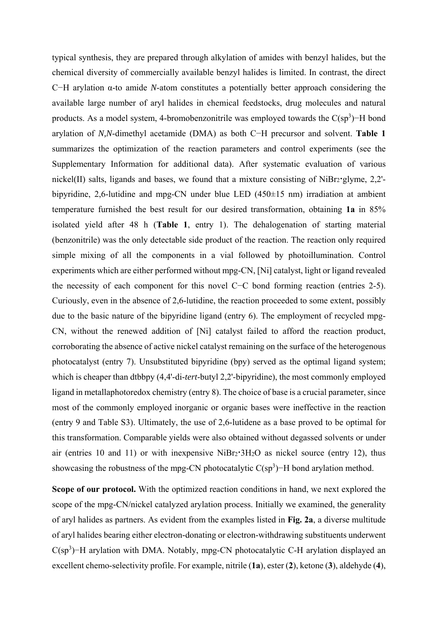typical synthesis, they are prepared through alkylation of amides with benzyl halides, but the chemical diversity of commercially available benzyl halides is limited. In contrast, the direct C−H arylation α-to amide *N*-atom constitutes a potentially better approach considering the available large number of aryl halides in chemical feedstocks, drug molecules and natural products. As a model system, 4-bromobenzonitrile was employed towards the  $C(sp^3)$ -H bond arylation of *N,N*-dimethyl acetamide (DMA) as both C−H precursor and solvent. **Table 1** summarizes the optimization of the reaction parameters and control experiments (see the Supplementary Information for additional data). After systematic evaluation of various nickel(II) salts, ligands and bases, we found that a mixture consisting of NiBr2**·**glyme, 2,2' bipyridine, 2,6-lutidine and mpg-CN under blue LED (450±15 nm) irradiation at ambient temperature furnished the best result for our desired transformation, obtaining **1a** in 85% isolated yield after 48 h (**Table 1**, entry 1). The dehalogenation of starting material (benzonitrile) was the only detectable side product of the reaction. The reaction only required simple mixing of all the components in a vial followed by photoillumination. Control experiments which are either performed without mpg-CN, [Ni] catalyst, light or ligand revealed the necessity of each component for this novel C−C bond forming reaction (entries 2-5). Curiously, even in the absence of 2,6-lutidine, the reaction proceeded to some extent, possibly due to the basic nature of the bipyridine ligand (entry 6). The employment of recycled mpg-CN, without the renewed addition of [Ni] catalyst failed to afford the reaction product, corroborating the absence of active nickel catalyst remaining on the surface of the heterogenous photocatalyst (entry 7). Unsubstituted bipyridine (bpy) served as the optimal ligand system; which is cheaper than dtbbpy (4,4'-di-*tert*-butyl 2,2'-bipyridine), the most commonly employed ligand in metallaphotoredox chemistry (entry 8). The choice of base is a crucial parameter, since most of the commonly employed inorganic or organic bases were ineffective in the reaction (entry 9 and Table S3). Ultimately, the use of 2,6-lutidene as a base proved to be optimal for this transformation. Comparable yields were also obtained without degassed solvents or under air (entries 10 and 11) or with inexpensive NiBr2**·**3H2O as nickel source (entry 12), thus showcasing the robustness of the mpg-CN photocatalytic  $C(sp^3)$ –H bond arylation method.

**Scope of our protocol.** With the optimized reaction conditions in hand, we next explored the scope of the mpg-CN/nickel catalyzed arylation process. Initially we examined, the generality of aryl halides as partners. As evident from the examples listed in **Fig. 2a**, a diverse multitude of aryl halides bearing either electron-donating or electron-withdrawing substituents underwent  $C(sp<sup>3</sup>)$ -H arylation with DMA. Notably, mpg-CN photocatalytic C-H arylation displayed an excellent chemo-selectivity profile. For example, nitrile (**1a**), ester (**2**), ketone (**3**), aldehyde (**4**),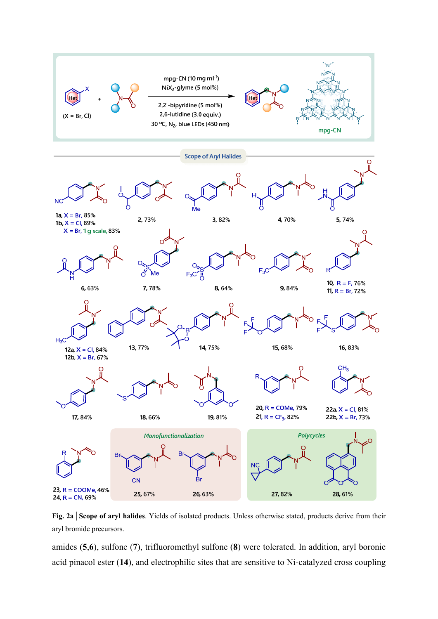

**Fig. 2a│Scope of aryl halides**. Yields of isolated products. Unless otherwise stated, products derive from their aryl bromide precursors.

amides (**5**,**6**), sulfone (**7**), trifluoromethyl sulfone (**8**) were tolerated. In addition, aryl boronic acid pinacol ester (**14**), and electrophilic sites that are sensitive to Ni-catalyzed cross coupling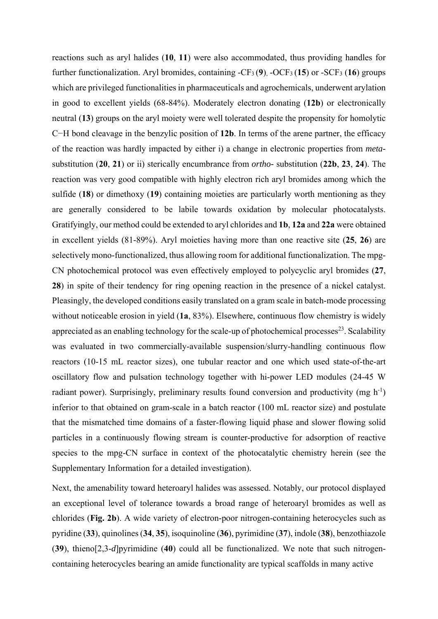reactions such as aryl halides (**10**, **11**) were also accommodated, thus providing handles for further functionalization. Aryl bromides, containing -CF3 (**9**), -OCF3 (**15**) or -SCF3 (**16**) groups which are privileged functionalities in pharmaceuticals and agrochemicals, underwent arylation in good to excellent yields (68-84%). Moderately electron donating (**12b**) or electronically neutral (**13**) groups on the aryl moiety were well tolerated despite the propensity for homolytic C−H bond cleavage in the benzylic position of **12b**. In terms of the arene partner, the efficacy of the reaction was hardly impacted by either i) a change in electronic properties from *meta*substitution (**20**, **21**) or ii) sterically encumbrance from *ortho-* substitution (**22b**, **23**, **24**). The reaction was very good compatible with highly electron rich aryl bromides among which the sulfide (**18**) or dimethoxy (**19**) containing moieties are particularly worth mentioning as they are generally considered to be labile towards oxidation by molecular photocatalysts. Gratifyingly, our method could be extended to aryl chlorides and **1b**, **12a** and **22a** were obtained in excellent yields (81-89%). Aryl moieties having more than one reactive site (**25**, **26**) are selectively mono-functionalized, thus allowing room for additional functionalization. The mpg-CN photochemical protocol was even effectively employed to polycyclic aryl bromides (**27**, **28**) in spite of their tendency for ring opening reaction in the presence of a nickel catalyst. Pleasingly, the developed conditions easily translated on a gram scale in batch-mode processing without noticeable erosion in yield (**1a**, 83%). Elsewhere, continuous flow chemistry is widely appreciated as an enabling technology for the scale-up of photochemical processes $^{23}$ . Scalability was evaluated in two commercially-available suspension/slurry-handling continuous flow reactors (10-15 mL reactor sizes), one tubular reactor and one which used state-of-the-art oscillatory flow and pulsation technology together with hi-power LED modules (24-45 W radiant power). Surprisingly, preliminary results found conversion and productivity (mg  $h^{-1}$ ) inferior to that obtained on gram-scale in a batch reactor (100 mL reactor size) and postulate that the mismatched time domains of a faster-flowing liquid phase and slower flowing solid particles in a continuously flowing stream is counter-productive for adsorption of reactive species to the mpg-CN surface in context of the photocatalytic chemistry herein (see the Supplementary Information for a detailed investigation).

Next, the amenability toward heteroaryl halides was assessed. Notably, our protocol displayed an exceptional level of tolerance towards a broad range of heteroaryl bromides as well as chlorides (**Fig. 2b**). A wide variety of electron-poor nitrogen-containing heterocycles such as pyridine (**33**), quinolines (**34**, **35**), isoquinoline (**36**), pyrimidine (**37**), indole (**38**), benzothiazole (**39**), thieno[2,3-*d*]pyrimidine (**40**) could all be functionalized. We note that such nitrogencontaining heterocycles bearing an amide functionality are typical scaffolds in many active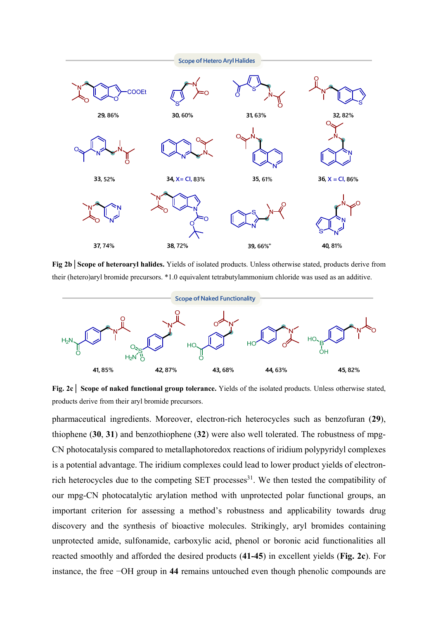

**Fig 2b│Scope of heteroaryl halides.** Yields of isolated products. Unless otherwise stated, products derive from their (hetero)aryl bromide precursors. \*1.0 equivalent tetrabutylammonium chloride was used as an additive.



**Fig. 2c│ Scope of naked functional group tolerance.** Yields of the isolated products. Unless otherwise stated, products derive from their aryl bromide precursors.

pharmaceutical ingredients. Moreover, electron-rich heterocycles such as benzofuran (**29**), thiophene (**30**, **31**) and benzothiophene (**32**) were also well tolerated. The robustness of mpg-CN photocatalysis compared to metallaphotoredox reactions of iridium polypyridyl complexes is a potential advantage. The iridium complexes could lead to lower product yields of electronrich heterocycles due to the competing SET processes<sup>31</sup>. We then tested the compatibility of our mpg-CN photocatalytic arylation method with unprotected polar functional groups, an important criterion for assessing a method's robustness and applicability towards drug discovery and the synthesis of bioactive molecules. Strikingly, aryl bromides containing unprotected amide, sulfonamide, carboxylic acid, phenol or boronic acid functionalities all reacted smoothly and afforded the desired products (**41-45**) in excellent yields (**Fig. 2c**). For instance, the free −OH group in **44** remains untouched even though phenolic compounds are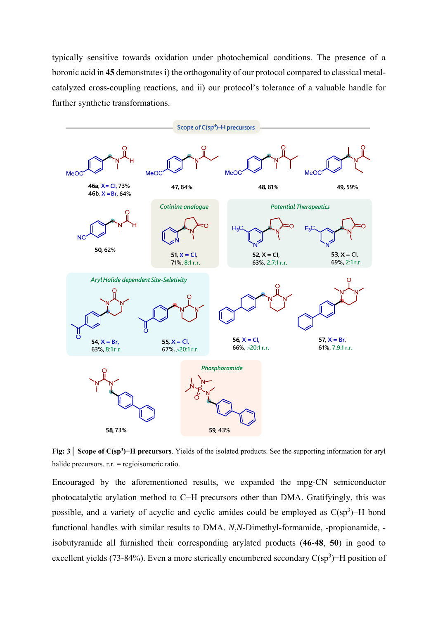typically sensitive towards oxidation under photochemical conditions. The presence of a boronic acid in **45** demonstrates i) the orthogonality of our protocol compared to classical metalcatalyzed cross-coupling reactions, and ii) our protocol's tolerance of a valuable handle for further synthetic transformations.



**Fig: 3│ Scope of C(sp3 )−H precursors**. Yields of the isolated products. See the supporting information for aryl halide precursors. r.r. = regioisomeric ratio.

Encouraged by the aforementioned results, we expanded the mpg-CN semiconductor photocatalytic arylation method to C−H precursors other than DMA. Gratifyingly, this was possible, and a variety of acyclic and cyclic amides could be employed as  $C(sp^3)$ -H bond functional handles with similar results to DMA. *N*,*N*-Dimethyl-formamide, -propionamide, isobutyramide all furnished their corresponding arylated products (**46**-**48**, **50**) in good to excellent yields (73-84%). Even a more sterically encumbered secondary  $C(sp^3)$  – H position of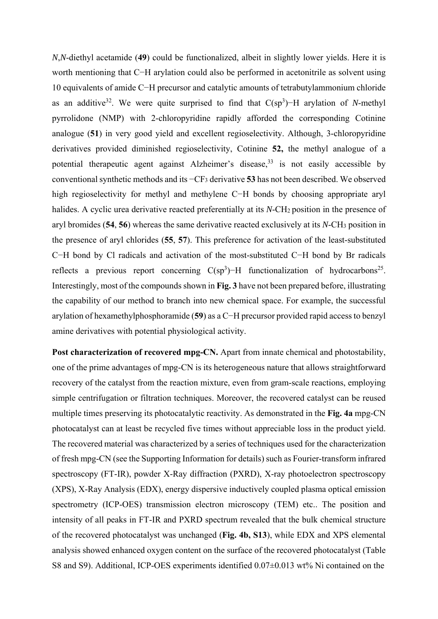*N*,*N*-diethyl acetamide (**49**) could be functionalized, albeit in slightly lower yields. Here it is worth mentioning that C−H arylation could also be performed in acetonitrile as solvent using 10 equivalents of amide C−H precursor and catalytic amounts of tetrabutylammonium chloride as an additive<sup>32</sup>. We were quite surprised to find that  $C(sp^3)$ –H arylation of *N*-methyl pyrrolidone (NMP) with 2-chloropyridine rapidly afforded the corresponding Cotinine analogue (**51**) in very good yield and excellent regioselectivity. Although, 3-chloropyridine derivatives provided diminished regioselectivity, Cotinine **52,** the methyl analogue of a potential therapeutic agent against Alzheimer's disease,  $33$  is not easily accessible by conventional synthetic methods and its −CF3 derivative **53** has not been described. We observed high regioselectivity for methyl and methylene C−H bonds by choosing appropriate aryl halides. A cyclic urea derivative reacted preferentially at its *N*-CH<sub>2</sub> position in the presence of aryl bromides (**54**, **56**) whereas the same derivative reacted exclusively at its *N*-CH3 position in the presence of aryl chlorides (**55**, **57**). This preference for activation of the least-substituted C−H bond by Cl radicals and activation of the most-substituted C−H bond by Br radicals reflects a previous report concerning  $C(sp^3)$ -H functionalization of hydrocarbons<sup>25</sup>. Interestingly, most of the compounds shown in **Fig. 3** have not been prepared before, illustrating the capability of our method to branch into new chemical space. For example, the successful arylation of hexamethylphosphoramide (**59**) as a C−H precursor provided rapid access to benzyl amine derivatives with potential physiological activity.

Post characterization of recovered mpg-CN. Apart from innate chemical and photostability, one of the prime advantages of mpg-CN is its heterogeneous nature that allows straightforward recovery of the catalyst from the reaction mixture, even from gram-scale reactions, employing simple centrifugation or filtration techniques. Moreover, the recovered catalyst can be reused multiple times preserving its photocatalytic reactivity. As demonstrated in the **Fig. 4a** mpg-CN photocatalyst can at least be recycled five times without appreciable loss in the product yield. The recovered material was characterized by a series of techniques used for the characterization of fresh mpg-CN (see the Supporting Information for details) such as Fourier-transform infrared spectroscopy (FT-IR), powder X-Ray diffraction (PXRD), X-ray photoelectron spectroscopy (XPS), X-Ray Analysis (EDX), energy dispersive inductively coupled plasma optical emission spectrometry (ICP-OES) transmission electron microscopy (TEM) etc.. The position and intensity of all peaks in FT-IR and PXRD spectrum revealed that the bulk chemical structure of the recovered photocatalyst was unchanged (**Fig. 4b, S13**), while EDX and XPS elemental analysis showed enhanced oxygen content on the surface of the recovered photocatalyst (Table S8 and S9). Additional, ICP-OES experiments identified 0.07±0.013 wt% Ni contained on the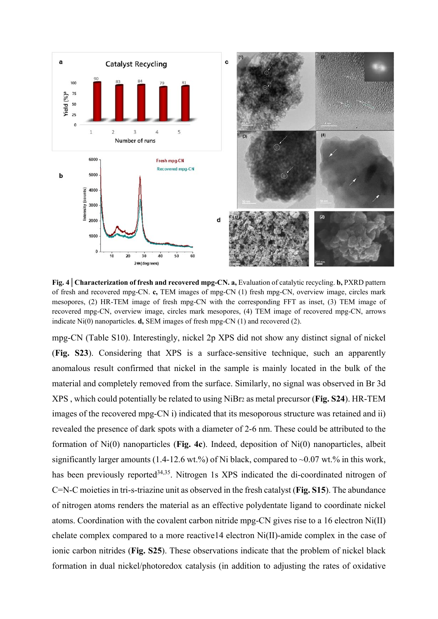

**Fig. 4│Characterization of fresh and recovered mpg-CN. a,** Evaluation of catalytic recycling. **b,** PXRD pattern of fresh and recovered mpg-CN. **c,** TEM images of mpg-CN (1) fresh mpg-CN, overview image, circles mark mesopores, (2) HR-TEM image of fresh mpg-CN with the corresponding FFT as inset, (3) TEM image of recovered mpg-CN, overview image, circles mark mesopores, (4) TEM image of recovered mpg-CN, arrows indicate Ni(0) nanoparticles. **d,** SEM images of fresh mpg-CN (1) and recovered (2).

mpg-CN (Table S10). Interestingly, nickel 2p XPS did not show any distinct signal of nickel (**Fig. S23**). Considering that XPS is a surface-sensitive technique, such an apparently anomalous result confirmed that nickel in the sample is mainly located in the bulk of the material and completely removed from the surface. Similarly, no signal was observed in Br 3d XPS , which could potentially be related to using NiBr2 as metal precursor (**Fig. S24**). HR-TEM images of the recovered mpg-CN i) indicated that its mesoporous structure was retained and ii) revealed the presence of dark spots with a diameter of 2-6 nm. These could be attributed to the formation of Ni(0) nanoparticles (**Fig. 4c**). Indeed, deposition of Ni(0) nanoparticles, albeit significantly larger amounts (1.4-12.6 wt.%) of Ni black, compared to  $\sim 0.07$  wt.% in this work, has been previously reported<sup>34,35</sup>. Nitrogen 1s XPS indicated the di-coordinated nitrogen of C=N-C moieties in tri-s-triazine unit as observed in the fresh catalyst (**Fig. S15**). The abundance of nitrogen atoms renders the material as an effective polydentate ligand to coordinate nickel atoms. Coordination with the covalent carbon nitride mpg-CN gives rise to a 16 electron Ni(II) chelate complex compared to a more reactive14 electron Ni(II)-amide complex in the case of ionic carbon nitrides (**Fig. S25**). These observations indicate that the problem of nickel black formation in dual nickel/photoredox catalysis (in addition to adjusting the rates of oxidative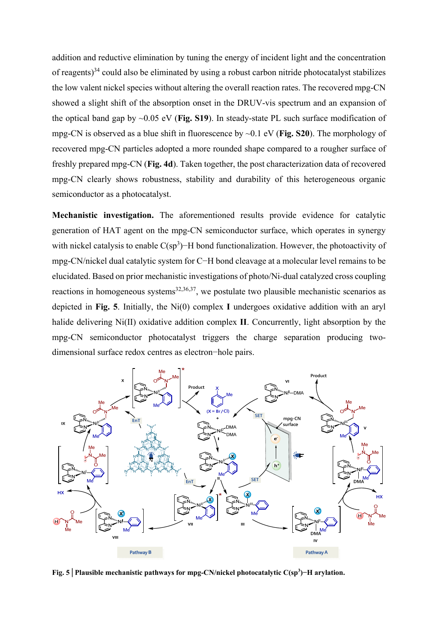addition and reductive elimination by tuning the energy of incident light and the concentration of reagents) $34$  could also be eliminated by using a robust carbon nitride photocatalyst stabilizes the low valent nickel species without altering the overall reaction rates. The recovered mpg-CN showed a slight shift of the absorption onset in the DRUV-vis spectrum and an expansion of the optical band gap by ~0.05 eV (**Fig. S19**). In steady-state PL such surface modification of mpg-CN is observed as a blue shift in fluorescence by ~0.1 eV (**Fig. S20**). The morphology of recovered mpg-CN particles adopted a more rounded shape compared to a rougher surface of freshly prepared mpg-CN (**Fig. 4d**). Taken together, the post characterization data of recovered mpg-CN clearly shows robustness, stability and durability of this heterogeneous organic semiconductor as a photocatalyst.

**Mechanistic investigation.** The aforementioned results provide evidence for catalytic generation of HAT agent on the mpg-CN semiconductor surface, which operates in synergy with nickel catalysis to enable  $C(sp^3)$ –H bond functionalization. However, the photoactivity of mpg-CN/nickel dual catalytic system for C−H bond cleavage at a molecular level remains to be elucidated. Based on prior mechanistic investigations of photo/Ni-dual catalyzed cross coupling reactions in homogeneous systems $32,36,37$ , we postulate two plausible mechanistic scenarios as depicted in **Fig. 5**. Initially, the Ni(0) complex **I** undergoes oxidative addition with an aryl halide delivering Ni(II) oxidative addition complex **II**. Concurrently, light absorption by the mpg-CN semiconductor photocatalyst triggers the charge separation producing twodimensional surface redox centres as electron−hole pairs.



**Fig. 5│Plausible mechanistic pathways for mpg-CN/nickel photocatalytic C(sp3 )−H arylation.**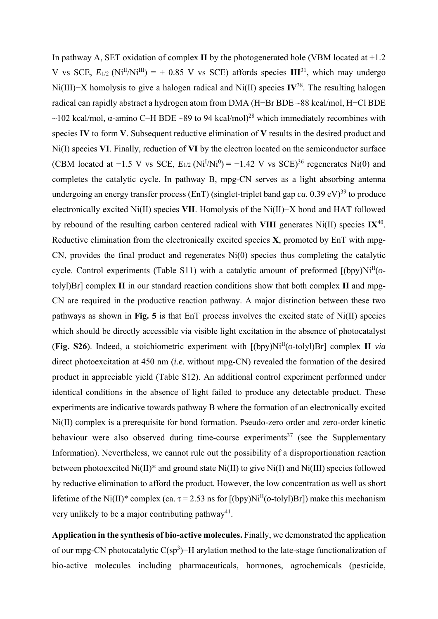In pathway A, SET oxidation of complex **II** by the photogenerated hole (VBM located at +1.2 V vs SCE,  $E_{1/2}$  (Ni<sup>II</sup>/Ni<sup>III</sup>) = + 0.85 V vs SCE) affords species  $III^{31}$ , which may undergo Ni(III)−X homolysis to give a halogen radical and Ni(II) species **IV**38. The resulting halogen radical can rapidly abstract a hydrogen atom from DMA (H−Br BDE ~88 kcal/mol, H−Cl BDE ~102 kcal/mol,  $\alpha$ -amino C–H BDE ~89 to 94 kcal/mol)<sup>28</sup> which immediately recombines with species **IV** to form **V**. Subsequent reductive elimination of **V** results in the desired product and Ni(I) species **VI**. Finally, reduction of **VI** by the electron located on the semiconductor surface (CBM located at  $-1.5$  V vs SCE,  $E_{1/2}$  (Ni<sup>I</sup>/Ni<sup>0</sup>) =  $-1.42$  V vs SCE)<sup>36</sup> regenerates Ni(0) and completes the catalytic cycle. In pathway B, mpg-CN serves as a light absorbing antenna undergoing an energy transfer process (EnT) (singlet-triplet band gap *ca.*  $(0.39 \text{ eV})^{39}$  to produce electronically excited Ni(II) species **VII**. Homolysis of the Ni(II)−X bond and HAT followed by rebound of the resulting carbon centered radical with **VIII** generates Ni(II) species **IX**40. Reductive elimination from the electronically excited species **X**, promoted by EnT with mpg-CN, provides the final product and regenerates Ni(0) species thus completing the catalytic cycle. Control experiments (Table S11) with a catalytic amount of preformed  $[(by)$ Ni<sup>II</sup>( $o$ tolyl)Br] complex **II** in our standard reaction conditions show that both complex **II** and mpg-CN are required in the productive reaction pathway. A major distinction between these two pathways as shown in **Fig. 5** is that EnT process involves the excited state of Ni(II) species which should be directly accessible via visible light excitation in the absence of photocatalyst (**Fig. S26**). Indeed, a stoichiometric experiment with  $[(by)$ Ni<sup>II</sup> $(o$ -tolyl)Br] complex **II** *via* direct photoexcitation at 450 nm (*i.e.* without mpg-CN) revealed the formation of the desired product in appreciable yield (Table S12). An additional control experiment performed under identical conditions in the absence of light failed to produce any detectable product. These experiments are indicative towards pathway B where the formation of an electronically excited Ni(II) complex is a prerequisite for bond formation. Pseudo-zero order and zero-order kinetic behaviour were also observed during time-course experiments<sup>37</sup> (see the Supplementary Information). Nevertheless, we cannot rule out the possibility of a disproportionation reaction between photoexcited Ni(II)\* and ground state Ni(II) to give Ni(I) and Ni(III) species followed by reductive elimination to afford the product. However, the low concentration as well as short lifetime of the Ni(II)<sup>\*</sup> complex (ca.  $\tau$  = 2.53 ns for  $[(by)$ Ni<sup>II</sup>( $o$ -tolyl)Br]) make this mechanism very unlikely to be a major contributing pathway<sup>41</sup>.

**Application in the synthesis of bio-active molecules.** Finally, we demonstrated the application of our mpg-CN photocatalytic C(sp<sup>3</sup>)–H arylation method to the late-stage functionalization of bio-active molecules including pharmaceuticals, hormones, agrochemicals (pesticide,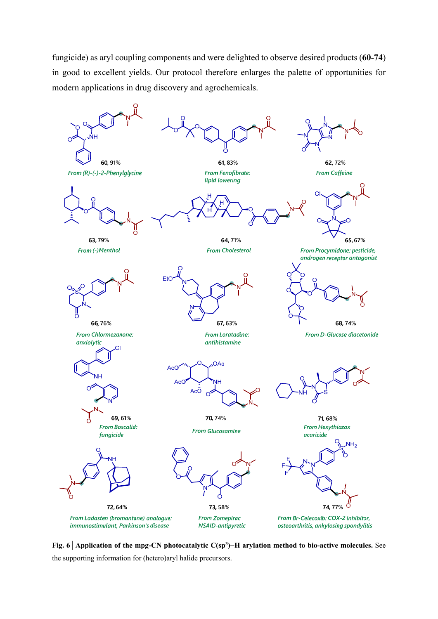fungicide) as aryl coupling components and were delighted to observe desired products (**60-74**) in good to excellent yields. Our protocol therefore enlarges the palette of opportunities for modern applications in drug discovery and agrochemicals.



**Fig. 6│Application of the mpg-CN photocatalytic C(sp3 )−H arylation method to bio-active molecules.** See the supporting information for (hetero)aryl halide precursors.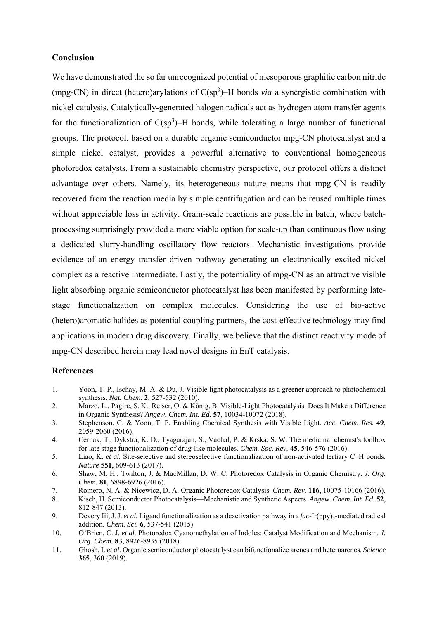#### **Conclusion**

We have demonstrated the so far unrecognized potential of mesoporous graphitic carbon nitride (mpg-CN) in direct (hetero)arylations of C(sp<sup>3</sup>)–H bonds *via* a synergistic combination with nickel catalysis. Catalytically-generated halogen radicals act as hydrogen atom transfer agents for the functionalization of  $C(sp^3)$ -H bonds, while tolerating a large number of functional groups. The protocol, based on a durable organic semiconductor mpg-CN photocatalyst and a simple nickel catalyst, provides a powerful alternative to conventional homogeneous photoredox catalysts. From a sustainable chemistry perspective, our protocol offers a distinct advantage over others. Namely, its heterogeneous nature means that mpg-CN is readily recovered from the reaction media by simple centrifugation and can be reused multiple times without appreciable loss in activity. Gram-scale reactions are possible in batch, where batchprocessing surprisingly provided a more viable option for scale-up than continuous flow using a dedicated slurry-handling oscillatory flow reactors. Mechanistic investigations provide evidence of an energy transfer driven pathway generating an electronically excited nickel complex as a reactive intermediate. Lastly, the potentiality of mpg-CN as an attractive visible light absorbing organic semiconductor photocatalyst has been manifested by performing latestage functionalization on complex molecules. Considering the use of bio-active (hetero)aromatic halides as potential coupling partners, the cost-effective technology may find applications in modern drug discovery. Finally, we believe that the distinct reactivity mode of mpg-CN described herein may lead novel designs in EnT catalysis.

#### **References**

- 1. Yoon, T. P., Ischay, M. A. & Du, J. Visible light photocatalysis as a greener approach to photochemical synthesis. *Nat. Chem.* **2**, 527-532 (2010).
- 2. Marzo, L., Pagire, S. K., Reiser, O. & König, B. Visible-Light Photocatalysis: Does It Make a Difference in Organic Synthesis? *Angew. Chem. Int. Ed.* **57**, 10034-10072 (2018).
- 3. Stephenson, C. & Yoon, T. P. Enabling Chemical Synthesis with Visible Light. *Acc. Chem. Res.* **49**, 2059-2060 (2016).
- 4. Cernak, T., Dykstra, K. D., Tyagarajan, S., Vachal, P. & Krska, S. W. The medicinal chemist's toolbox for late stage functionalization of drug-like molecules. *Chem. Soc. Rev.* **45**, 546-576 (2016).
- 5. Liao, K. *et al.* Site-selective and stereoselective functionalization of non-activated tertiary C–H bonds. *Nature* **551**, 609-613 (2017).
- 6. Shaw, M. H., Twilton, J. & MacMillan, D. W. C. Photoredox Catalysis in Organic Chemistry. *J. Org. Chem.* **81**, 6898-6926 (2016).
- 7. Romero, N. A. & Nicewicz, D. A. Organic Photoredox Catalysis. *Chem. Rev.* **116**, 10075-10166 (2016).
- 8. Kisch, H. Semiconductor Photocatalysis—Mechanistic and Synthetic Aspects. *Angew. Chem. Int. Ed.* **52**, 812-847 (2013).
- 9. Devery Iii, J. J. *et al.* Ligand functionalization as a deactivation pathway in a *fac*-Ir(ppy)<sub>3</sub>-mediated radical addition. *Chem. Sci.* **6**, 537-541 (2015).
- 10. O'Brien, C. J. *et al.* Photoredox Cyanomethylation of Indoles: Catalyst Modification and Mechanism. *J. Org. Chem.* **83**, 8926-8935 (2018).
- 11. Ghosh, I. *et al.* Organic semiconductor photocatalyst can bifunctionalize arenes and heteroarenes. *Science* **365**, 360 (2019).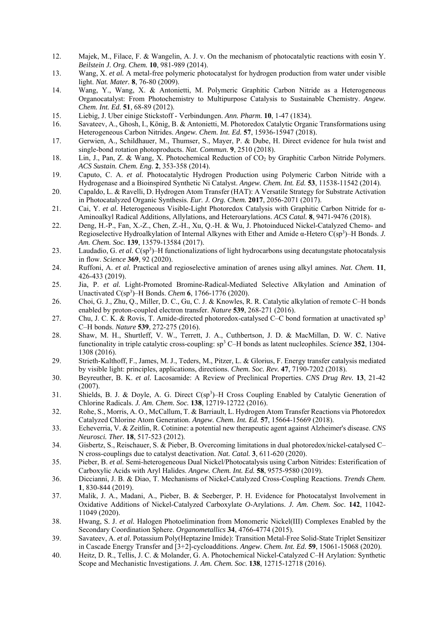- 12. Majek, M., Filace, F. & Wangelin, A. J. v. On the mechanism of photocatalytic reactions with eosin Y. *Beilstein J. Org. Chem.* **10**, 981-989 (2014).
- 13. Wang, X. *et al.* A metal-free polymeric photocatalyst for hydrogen production from water under visible light. *Nat. Mater.* **8**, 76-80 (2009).
- 14. Wang, Y., Wang, X. & Antonietti, M. Polymeric Graphitic Carbon Nitride as a Heterogeneous Organocatalyst: From Photochemistry to Multipurpose Catalysis to Sustainable Chemistry. *Angew. Chem. Int. Ed.* **51**, 68-89 (2012).
- 15. Liebig, J. Uber einige Stickstoff Verbindungen. *Ann. Pharm.* **10**, 1-47 (1834).
- 16. Savateev, A., Ghosh, I., König, B. & Antonietti, M. Photoredox Catalytic Organic Transformations using Heterogeneous Carbon Nitrides. *Angew. Chem. Int. Ed.* **57**, 15936-15947 (2018).
- 17. Gerwien, A., Schildhauer, M., Thumser, S., Mayer, P. & Dube, H. Direct evidence for hula twist and single-bond rotation photoproducts. *Nat. Commun.* **9**, 2510 (2018).
- 18. Lin, J., Pan, Z. & Wang, X. Photochemical Reduction of CO2 by Graphitic Carbon Nitride Polymers. *ACS Sustain. Chem. Eng.* **2**, 353-358 (2014).
- 19. Caputo, C. A. *et al.* Photocatalytic Hydrogen Production using Polymeric Carbon Nitride with a Hydrogenase and a Bioinspired Synthetic Ni Catalyst. *Angew. Chem. Int. Ed.* **53**, 11538-11542 (2014).
- 20. Capaldo, L. & Ravelli, D. Hydrogen Atom Transfer (HAT): A Versatile Strategy for Substrate Activation in Photocatalyzed Organic Synthesis. *Eur. J. Org. Chem.* **2017**, 2056-2071 (2017).
- 21. Cai, Y. *et al.* Heterogeneous Visible-Light Photoredox Catalysis with Graphitic Carbon Nitride for α-Aminoalkyl Radical Additions, Allylations, and Heteroarylations. *ACS Catal.* **8**, 9471-9476 (2018).
- 22. Deng, H.-P., Fan, X.-Z., Chen, Z.-H., Xu, Q.-H. & Wu, J. Photoinduced Nickel-Catalyzed Chemo- and Regioselective Hydroalkylation of Internal Alkynes with Ether and Amide α-Hetero C(sp<sup>3</sup>)–H Bonds. *J. Am. Chem. Soc.* **139**, 13579-13584 (2017).
- 23. Laudadio, G. et al. C(sp<sup>3</sup>)–H functionalizations of light hydrocarbons using decatungstate photocatalysis in flow. *Science* **369**, 92 (2020).
- 24. Ruffoni, A. *et al.* Practical and regioselective amination of arenes using alkyl amines. *Nat. Chem.* **11**, 426-433 (2019).
- 25. Jia, P. *et al.* Light-Promoted Bromine-Radical-Mediated Selective Alkylation and Amination of Unactivated C(sp3 )–H Bonds. *Chem* **6**, 1766-1776 (2020).
- 26. Choi, G. J., Zhu, Q., Miller, D. C., Gu, C. J. & Knowles, R. R. Catalytic alkylation of remote C–H bonds enabled by proton-coupled electron transfer. *Nature* **539**, 268-271 (2016).
- 27. Chu, J. C. K. & Rovis, T. Amide-directed photoredox-catalysed C–C bond formation at unactivated sp<sup>3</sup> C–H bonds. *Nature* **539**, 272-275 (2016).
- 28. Shaw, M. H., Shurtleff, V. W., Terrett, J. A., Cuthbertson, J. D. & MacMillan, D. W. C. Native functionality in triple catalytic cross-coupling: sp3 C–H bonds as latent nucleophiles. *Science* **352**, 1304- 1308 (2016).
- 29. Strieth-Kalthoff, F., James, M. J., Teders, M., Pitzer, L. & Glorius, F. Energy transfer catalysis mediated by visible light: principles, applications, directions. *Chem. Soc. Rev.* **47**, 7190-7202 (2018).
- 30. Beyreuther, B. K. *et al.* Lacosamide: A Review of Preclinical Properties. *CNS Drug Rev.* **13**, 21-42 (2007).
- 31. Shields, B. J. & Doyle, A. G. Direct  $C(sp^3)$ –H Cross Coupling Enabled by Catalytic Generation of Chlorine Radicals. *J. Am. Chem. Soc.* **138**, 12719-12722 (2016).
- 32. Rohe, S., Morris, A. O., McCallum, T. & Barriault, L. Hydrogen Atom Transfer Reactions via Photoredox Catalyzed Chlorine Atom Generation. *Angew. Chem. Int. Ed.* **57**, 15664-15669 (2018).
- 33. Echeverria, V. & Zeitlin, R. Cotinine: a potential new therapeutic agent against Alzheimer's disease. *CNS Neurosci. Ther.* **18**, 517-523 (2012).
- 34. Gisbertz, S., Reischauer, S. & Pieber, B. Overcoming limitations in dual photoredox/nickel-catalysed C– N cross-couplings due to catalyst deactivation. *Nat. Catal.* **3**, 611-620 (2020).
- 35. Pieber, B. *et al.* Semi-heterogeneous Dual Nickel/Photocatalysis using Carbon Nitrides: Esterification of Carboxylic Acids with Aryl Halides. *Angew. Chem. Int. Ed.* **58**, 9575-9580 (2019).
- 36. Diccianni, J. B. & Diao, T. Mechanisms of Nickel-Catalyzed Cross-Coupling Reactions. *Trends Chem.* **1**, 830-844 (2019).
- 37. Malik, J. A., Madani, A., Pieber, B. & Seeberger, P. H. Evidence for Photocatalyst Involvement in Oxidative Additions of Nickel-Catalyzed Carboxylate *O*-Arylations. *J. Am. Chem. Soc.* **142**, 11042- 11049 (2020).
- 38. Hwang, S. J. *et al.* Halogen Photoelimination from Monomeric Nickel(III) Complexes Enabled by the Secondary Coordination Sphere. *Organometallics* **34**, 4766-4774 (2015).
- 39. Savateev, A. *et al.* Potassium Poly(Heptazine Imide): Transition Metal-Free Solid-State Triplet Sensitizer in Cascade Energy Transfer and [3+2]-cycloadditions. *Angew. Chem. Int. Ed.* **59**, 15061-15068 (2020).
- 40. Heitz, D. R., Tellis, J. C. & Molander, G. A. Photochemical Nickel-Catalyzed C–H Arylation: Synthetic Scope and Mechanistic Investigations. *J. Am. Chem. Soc.* **138**, 12715-12718 (2016).